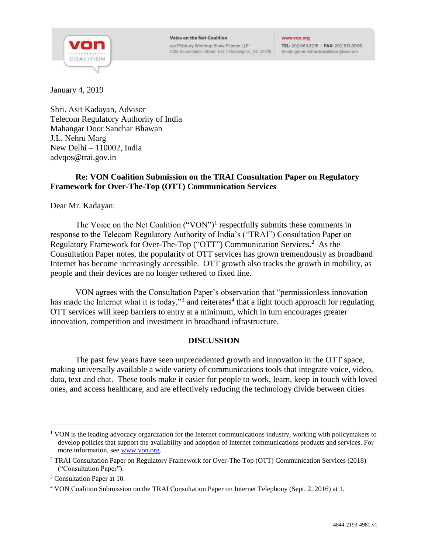

#### **Voice on the Net Coalition**

c/o Pillsbury Winthrop Shaw Pittman LLP 1200 Seventeenth Street, NW | Washington, DC 20036 :

#### www.von.org

TEL: 202.663.8215 | FAX: 202.513.8006 Email: glenn.richards@pillsburylaw.com

January 4, 2019

Shri. Asit Kadayan, Advisor Telecom Regulatory Authority of India Mahangar Door Sanchar Bhawan J.L. Nehru Marg New Delhi – 110002, India advqos@trai.gov.in

## **Re: VON Coalition Submission on the TRAI Consultation Paper on Regulatory Framework for Over-The-Top (OTT) Communication Services**

Dear Mr. Kadayan:

The Voice on the Net Coalition  $("VON")^1$  respectfully submits these comments in response to the Telecom Regulatory Authority of India's ("TRAI") Consultation Paper on Regulatory Framework for Over-The-Top ("OTT") Communication Services.<sup>2</sup> As the Consultation Paper notes, the popularity of OTT services has grown tremendously as broadband Internet has become increasingly accessible. OTT growth also tracks the growth in mobility, as people and their devices are no longer tethered to fixed line.

VON agrees with the Consultation Paper's observation that "permissionless innovation has made the Internet what it is today,"<sup>3</sup> and reiterates<sup>4</sup> that a light touch approach for regulating OTT services will keep barriers to entry at a minimum, which in turn encourages greater innovation, competition and investment in broadband infrastructure.

# **DISCUSSION**

The past few years have seen unprecedented growth and innovation in the OTT space, making universally available a wide variety of communications tools that integrate voice, video, data, text and chat. These tools make it easier for people to work, learn, keep in touch with loved ones, and access healthcare, and are effectively reducing the technology divide between cities

<sup>&</sup>lt;sup>1</sup> VON is the leading advocacy organization for the Internet communications industry, working with policymakers to develop policies that support the availability and adoption of Internet communications products and services. For more information, see www.von.org.

<sup>2</sup> TRAI Consultation Paper on Regulatory Framework for Over-The-Top (OTT) Communication Services (2018) ("Consultation Paper").

<sup>&</sup>lt;sup>3</sup> Consultation Paper at 10.

<sup>4</sup> VON Coalition Submission on the TRAI Consultation Paper on Internet Telephony (Sept. 2, 2016) at 1.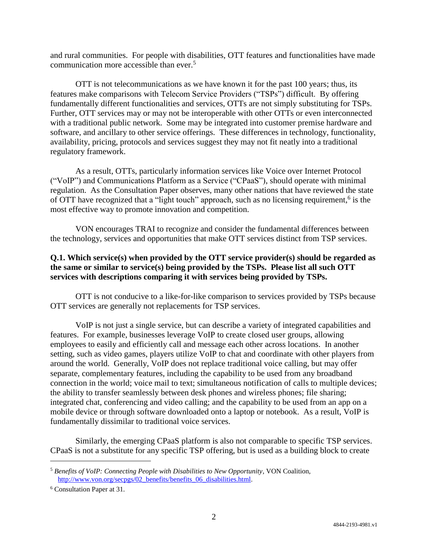and rural communities. For people with disabilities, OTT features and functionalities have made communication more accessible than ever. 5

OTT is not telecommunications as we have known it for the past 100 years; thus, its features make comparisons with Telecom Service Providers ("TSPs") difficult. By offering fundamentally different functionalities and services, OTTs are not simply substituting for TSPs. Further, OTT services may or may not be interoperable with other OTTs or even interconnected with a traditional public network. Some may be integrated into customer premise hardware and software, and ancillary to other service offerings. These differences in technology, functionality, availability, pricing, protocols and services suggest they may not fit neatly into a traditional regulatory framework.

As a result, OTTs, particularly information services like Voice over Internet Protocol ("VoIP") and Communications Platform as a Service ("CPaaS"), should operate with minimal regulation. As the Consultation Paper observes, many other nations that have reviewed the state of OTT have recognized that a "light touch" approach, such as no licensing requirement,<sup>6</sup> is the most effective way to promote innovation and competition.

VON encourages TRAI to recognize and consider the fundamental differences between the technology, services and opportunities that make OTT services distinct from TSP services.

## **Q.1. Which service(s) when provided by the OTT service provider(s) should be regarded as the same or similar to service(s) being provided by the TSPs. Please list all such OTT services with descriptions comparing it with services being provided by TSPs.**

OTT is not conducive to a like-for-like comparison to services provided by TSPs because OTT services are generally not replacements for TSP services.

VoIP is not just a single service, but can describe a variety of integrated capabilities and features. For example, businesses leverage VoIP to create closed user groups, allowing employees to easily and efficiently call and message each other across locations. In another setting, such as video games, players utilize VoIP to chat and coordinate with other players from around the world. Generally, VoIP does not replace traditional voice calling, but may offer separate, complementary features, including the capability to be used from any broadband connection in the world; voice mail to text; simultaneous notification of calls to multiple devices; the ability to transfer seamlessly between desk phones and wireless phones; file sharing; integrated chat, conferencing and video calling; and the capability to be used from an app on a mobile device or through software downloaded onto a laptop or notebook. As a result, VoIP is fundamentally dissimilar to traditional voice services.

Similarly, the emerging CPaaS platform is also not comparable to specific TSP services. CPaaS is not a substitute for any specific TSP offering, but is used as a building block to create

<sup>5</sup> *Benefits of VoIP: Connecting People with Disabilities to New Opportunity*, VON Coalition, http://www.von.org/secpgs/02\_benefits/benefits\_06\_disabilities.html.

<sup>6</sup> Consultation Paper at 31.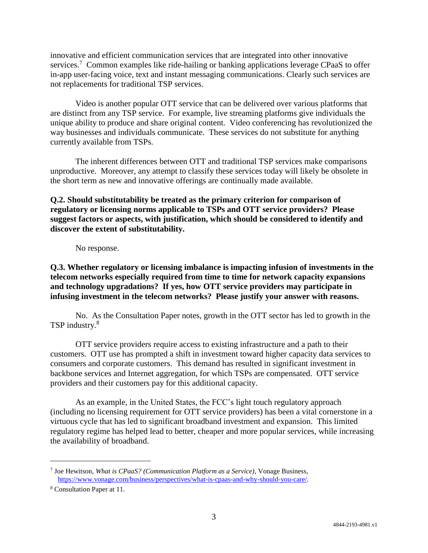innovative and efficient communication services that are integrated into other innovative services.<sup>7</sup> Common examples like ride-hailing or banking applications leverage CPaaS to offer in-app user-facing voice, text and instant messaging communications. Clearly such services are not replacements for traditional TSP services.

Video is another popular OTT service that can be delivered over various platforms that are distinct from any TSP service. For example, live streaming platforms give individuals the unique ability to produce and share original content. Video conferencing has revolutionized the way businesses and individuals communicate. These services do not substitute for anything currently available from TSPs.

The inherent differences between OTT and traditional TSP services make comparisons unproductive. Moreover, any attempt to classify these services today will likely be obsolete in the short term as new and innovative offerings are continually made available.

## **Q.2. Should substitutability be treated as the primary criterion for comparison of regulatory or licensing norms applicable to TSPs and OTT service providers? Please suggest factors or aspects, with justification, which should be considered to identify and discover the extent of substitutability.**

No response.

**Q.3. Whether regulatory or licensing imbalance is impacting infusion of investments in the telecom networks especially required from time to time for network capacity expansions and technology upgradations? If yes, how OTT service providers may participate in infusing investment in the telecom networks? Please justify your answer with reasons.**

No. As the Consultation Paper notes, growth in the OTT sector has led to growth in the TSP industry.<sup>8</sup>

OTT service providers require access to existing infrastructure and a path to their customers. OTT use has prompted a shift in investment toward higher capacity data services to consumers and corporate customers. This demand has resulted in significant investment in backbone services and Internet aggregation, for which TSPs are compensated. OTT service providers and their customers pay for this additional capacity.

As an example, in the United States, the FCC's light touch regulatory approach (including no licensing requirement for OTT service providers) has been a vital cornerstone in a virtuous cycle that has led to significant broadband investment and expansion. This limited regulatory regime has helped lead to better, cheaper and more popular services, while increasing the availability of broadband.

<sup>7</sup> Joe Hewitson, *What is CPaaS? (Communication Platform as a Service)*, Vonage Business, https://www.vonage.com/business/perspectives/what-is-cpaas-and-why-should-you-care/.

<sup>8</sup> Consultation Paper at 11.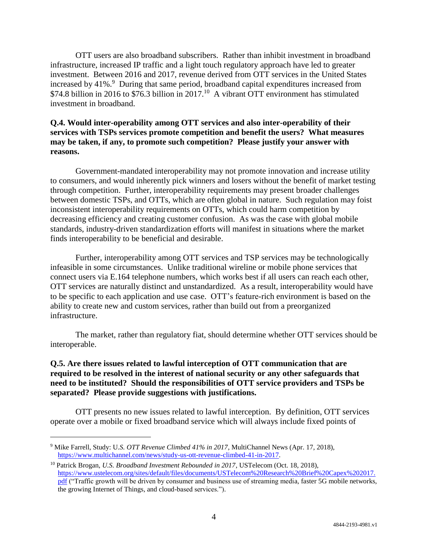OTT users are also broadband subscribers. Rather than inhibit investment in broadband infrastructure, increased IP traffic and a light touch regulatory approach have led to greater investment. Between 2016 and 2017, revenue derived from OTT services in the United States increased by 41%.<sup>9</sup> During that same period, broadband capital expenditures increased from \$74.8 billion in 2016 to \$76.3 billion in 2017.<sup>10</sup> A vibrant OTT environment has stimulated investment in broadband.

#### **Q.4. Would inter-operability among OTT services and also inter-operability of their services with TSPs services promote competition and benefit the users? What measures may be taken, if any, to promote such competition? Please justify your answer with reasons.**

Government-mandated interoperability may not promote innovation and increase utility to consumers, and would inherently pick winners and losers without the benefit of market testing through competition. Further, interoperability requirements may present broader challenges between domestic TSPs, and OTTs, which are often global in nature. Such regulation may foist inconsistent interoperability requirements on OTTs, which could harm competition by decreasing efficiency and creating customer confusion. As was the case with global mobile standards, industry-driven standardization efforts will manifest in situations where the market finds interoperability to be beneficial and desirable.

Further, interoperability among OTT services and TSP services may be technologically infeasible in some circumstances. Unlike traditional wireline or mobile phone services that connect users via E.164 telephone numbers, which works best if all users can reach each other, OTT services are naturally distinct and unstandardized. As a result, interoperability would have to be specific to each application and use case. OTT's feature-rich environment is based on the ability to create new and custom services, rather than build out from a preorganized infrastructure.

The market, rather than regulatory fiat, should determine whether OTT services should be interoperable.

#### **Q.5. Are there issues related to lawful interception of OTT communication that are required to be resolved in the interest of national security or any other safeguards that need to be instituted? Should the responsibilities of OTT service providers and TSPs be separated? Please provide suggestions with justifications.**

OTT presents no new issues related to lawful interception. By definition, OTT services operate over a mobile or fixed broadband service which will always include fixed points of

<sup>9</sup> Mike Farrell, Study: U.*S. OTT Revenue Climbed 41% in 2017*, MultiChannel News (Apr. 17, 2018), https://www.multichannel.com/news/study-us-ott-revenue-climbed-41-in-2017.

<sup>10</sup> Patrick Brogan, *U.S. Broadband Investment Rebounded in 2017*, USTelecom (Oct. 18, 2018), https://www.ustelecom.org/sites/default/files/documents/USTelecom%20Research%20Brief%20Capex%202017. pdf ("Traffic growth will be driven by consumer and business use of streaming media, faster 5G mobile networks, the growing Internet of Things, and cloud-based services.").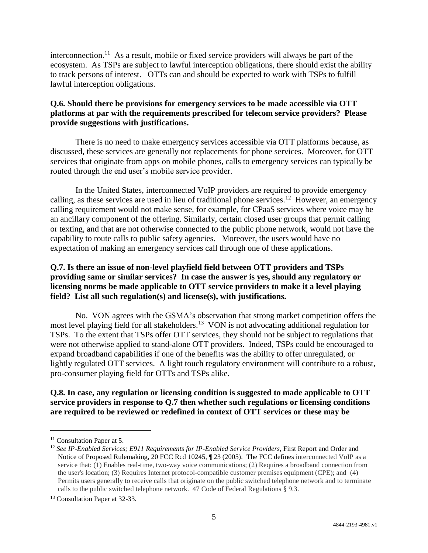interconnection.<sup>11</sup> As a result, mobile or fixed service providers will always be part of the ecosystem. As TSPs are subject to lawful interception obligations, there should exist the ability to track persons of interest. OTTs can and should be expected to work with TSPs to fulfill lawful interception obligations.

## **Q.6. Should there be provisions for emergency services to be made accessible via OTT platforms at par with the requirements prescribed for telecom service providers? Please provide suggestions with justifications.**

There is no need to make emergency services accessible via OTT platforms because, as discussed, these services are generally not replacements for phone services. Moreover, for OTT services that originate from apps on mobile phones, calls to emergency services can typically be routed through the end user's mobile service provider.

In the United States, interconnected VoIP providers are required to provide emergency calling, as these services are used in lieu of traditional phone services.<sup>12</sup> However, an emergency calling requirement would not make sense, for example, for CPaaS services where voice may be an ancillary component of the offering. Similarly, certain closed user groups that permit calling or texting, and that are not otherwise connected to the public phone network, would not have the capability to route calls to public safety agencies. Moreover, the users would have no expectation of making an emergency services call through one of these applications.

#### **Q.7. Is there an issue of non-level playfield field between OTT providers and TSPs providing same or similar services? In case the answer is yes, should any regulatory or licensing norms be made applicable to OTT service providers to make it a level playing field? List all such regulation(s) and license(s), with justifications.**

No. VON agrees with the GSMA's observation that strong market competition offers the most level playing field for all stakeholders.<sup>13</sup> VON is not advocating additional regulation for TSPs. To the extent that TSPs offer OTT services, they should not be subject to regulations that were not otherwise applied to stand-alone OTT providers. Indeed, TSPs could be encouraged to expand broadband capabilities if one of the benefits was the ability to offer unregulated, or lightly regulated OTT services. A light touch regulatory environment will contribute to a robust, pro-consumer playing field for OTTs and TSPs alike.

# **Q.8. In case, any regulation or licensing condition is suggested to made applicable to OTT service providers in response to Q.7 then whether such regulations or licensing conditions are required to be reviewed or redefined in context of OTT services or these may be**

<sup>&</sup>lt;sup>11</sup> Consultation Paper at 5.

<sup>12</sup> *See IP-Enabled Services; E911 Requirements for IP-Enabled Service Providers*, First Report and Order and Notice of Proposed Rulemaking, 20 FCC Rcd 10245, ¶ 23 (2005). The FCC defines interconnected VoIP as a service that: (1) Enables real-time, two-way voice communications; (2) Requires a broadband connection from the user's location; (3) Requires Internet protocol-compatible customer premises equipment (CPE); and (4) Permits users generally to receive calls that originate on the public switched telephone network and to terminate calls to the public switched telephone network. 47 Code of Federal Regulations § 9.3.

<sup>13</sup> Consultation Paper at 32-33.